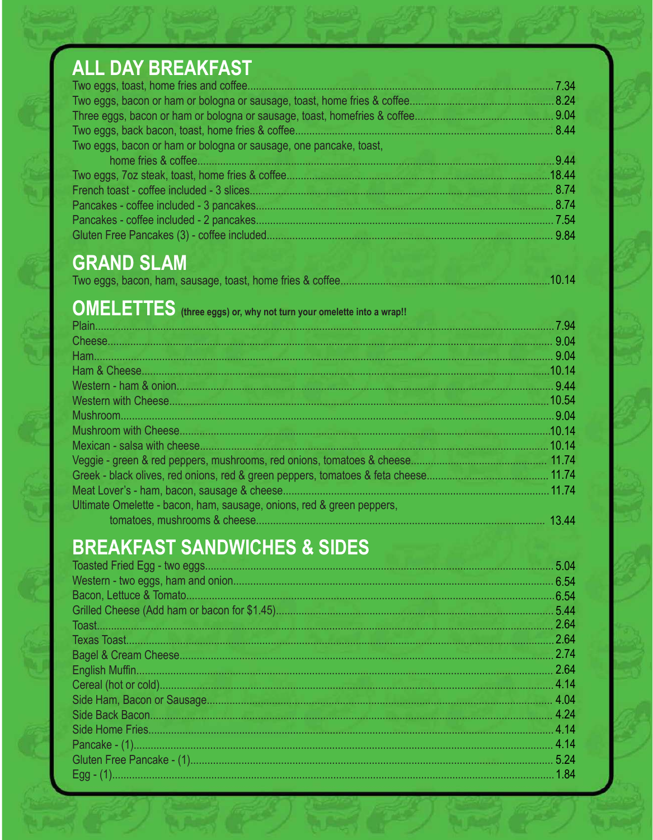# ALL DAY BREAKFAST

|                                                                   | 7.34   |
|-------------------------------------------------------------------|--------|
|                                                                   |        |
|                                                                   |        |
|                                                                   | 8.44   |
| Two eggs, bacon or ham or bologna or sausage, one pancake, toast, |        |
|                                                                   | -9.44  |
|                                                                   | .18.44 |
|                                                                   | 8.74   |
|                                                                   | 8.74   |
|                                                                   | 7.54   |
|                                                                   | 9.84   |

## **GRAND SLAM**

|  | 10.14 |
|--|-------|
|  |       |

### **OMELETTES** (three eggs) or, why not turn your omelette into a wrap!!

| . 7.94 |
|--------|
| 9.04   |
| .9.04  |
| .10.14 |
|        |
| .10.54 |
| 9.04   |
| .10.14 |
| 10.14  |
|        |
|        |
| 11.74  |
|        |
| 13.44  |
|        |

## **BREAKFAST SANDWICHES & SIDES**

| 5.04  |
|-------|
| 6.54  |
| .6.54 |
| 5.44  |
| 2.64  |
| 2.64  |
| 2.74  |
| 2.64  |
| 4.14  |
| 4.04  |
| 4.24  |
| 4.14  |
| 4.14  |
| 5.24  |
| 1.84  |
|       |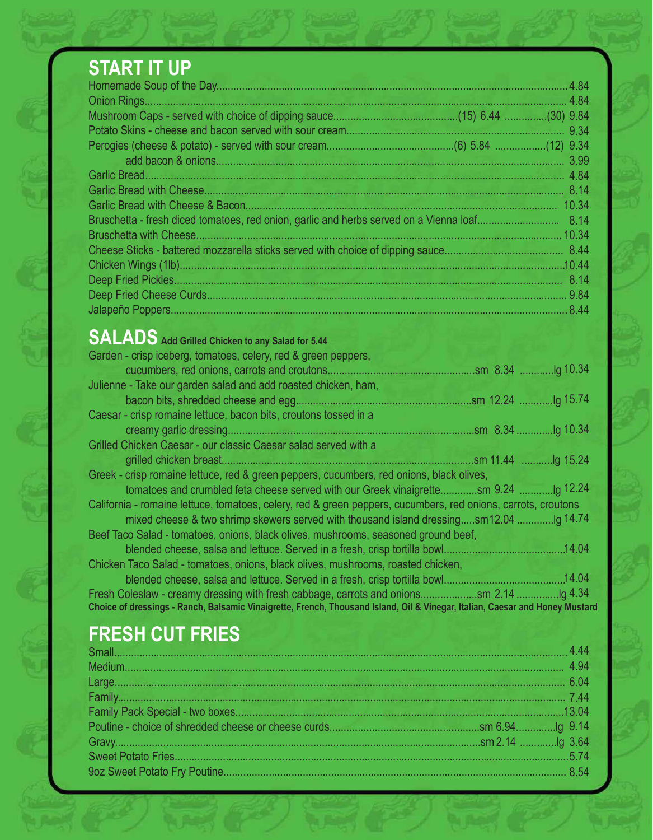# **START IT UP**

|                                                                                        | .4.84  |
|----------------------------------------------------------------------------------------|--------|
|                                                                                        |        |
|                                                                                        |        |
|                                                                                        |        |
|                                                                                        |        |
|                                                                                        | 3.99   |
|                                                                                        |        |
|                                                                                        |        |
|                                                                                        | 10.34  |
| Bruschetta - fresh diced tomatoes, red onion, garlic and herbs served on a Vienna loaf | 8.14   |
|                                                                                        | 10.34  |
|                                                                                        |        |
|                                                                                        | .10.44 |
|                                                                                        |        |
|                                                                                        | 9.84   |
|                                                                                        | .8.44  |

## **SALADS Add Grilled Chicken to any Salad for 5.44**

| Garden - crisp iceberg, tomatoes, celery, red & green peppers,                                                               |
|------------------------------------------------------------------------------------------------------------------------------|
|                                                                                                                              |
| Julienne - Take our garden salad and add roasted chicken, ham,                                                               |
|                                                                                                                              |
| Caesar - crisp romaine lettuce, bacon bits, croutons tossed in a                                                             |
|                                                                                                                              |
| Grilled Chicken Caesar - our classic Caesar salad served with a                                                              |
|                                                                                                                              |
| Greek - crisp romaine lettuce, red & green peppers, cucumbers, red onions, black olives,                                     |
| tomatoes and crumbled feta cheese served with our Greek vinaigrettesm 9.24                                                   |
| California - romaine lettuce, tomatoes, celery, red & green peppers, cucumbers, red onions, carrots, croutons                |
| mixed cheese & two shrimp skewers served with thousand island dressingsm12.04                                                |
| Beef Taco Salad - tomatoes, onions, black olives, mushrooms, seasoned ground beef,                                           |
| .14.04                                                                                                                       |
| Chicken Taco Salad - tomatoes, onions, black olives, mushrooms, roasted chicken,                                             |
| 14.04                                                                                                                        |
|                                                                                                                              |
| Choice of dressings - Ranch, Balsamic Vinaigrette, French, Thousand Island, Oil & Vinegar, Italian, Caesar and Honey Mustard |

## **FRESH CUT FRIES**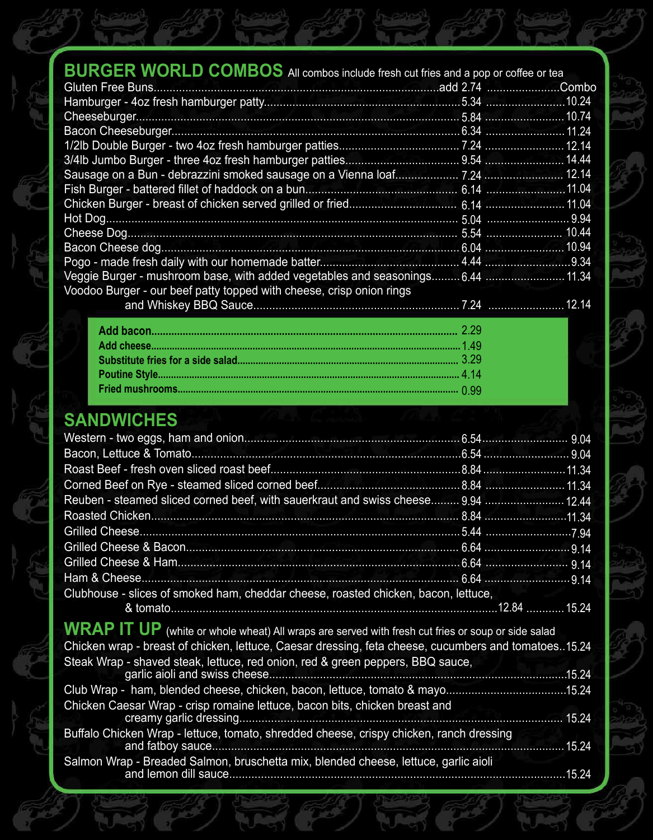| <b>BURGER WORLD COMBOS</b> All combos include fresh cut fries and a pop or coffee or tea |  |
|------------------------------------------------------------------------------------------|--|
|                                                                                          |  |
|                                                                                          |  |
|                                                                                          |  |
|                                                                                          |  |
|                                                                                          |  |
|                                                                                          |  |
|                                                                                          |  |
|                                                                                          |  |
|                                                                                          |  |
|                                                                                          |  |
|                                                                                          |  |
|                                                                                          |  |
|                                                                                          |  |
| Voodoo Burger - our beef patty topped with cheese, crisp onion rings                     |  |
|                                                                                          |  |

#### **SANDWICHES**

| Clubhouse - slices of smoked ham, cheddar cheese, roasted chicken, bacon, lettuce,                      |       |
|---------------------------------------------------------------------------------------------------------|-------|
|                                                                                                         |       |
| $WRAP$ $IT$ $UP$ (white or whole wheat) All wraps are served with fresh cut fries or soup or side salad |       |
| Chicken wrap - breast of chicken, lettuce, Caesar dressing, feta cheese, cucumbers and tomatoes. 15.24  |       |
| Steak Wrap - shaved steak, lettuce, red onion, red & green peppers, BBQ sauce,                          |       |
|                                                                                                         |       |
| Club Wrap - ham, blended cheese, chicken, bacon, lettuce, tomato & mayo15.24                            |       |
| Chicken Caesar Wrap - crisp romaine lettuce, bacon bits, chicken breast and                             |       |
|                                                                                                         |       |
| Buffalo Chicken Wrap - lettuce, tomato, shredded cheese, crispy chicken, ranch dressing                 | 15.24 |
| Salmon Wrap - Breaded Salmon, bruschetta mix, blended cheese, lettuce, garlic aioli                     |       |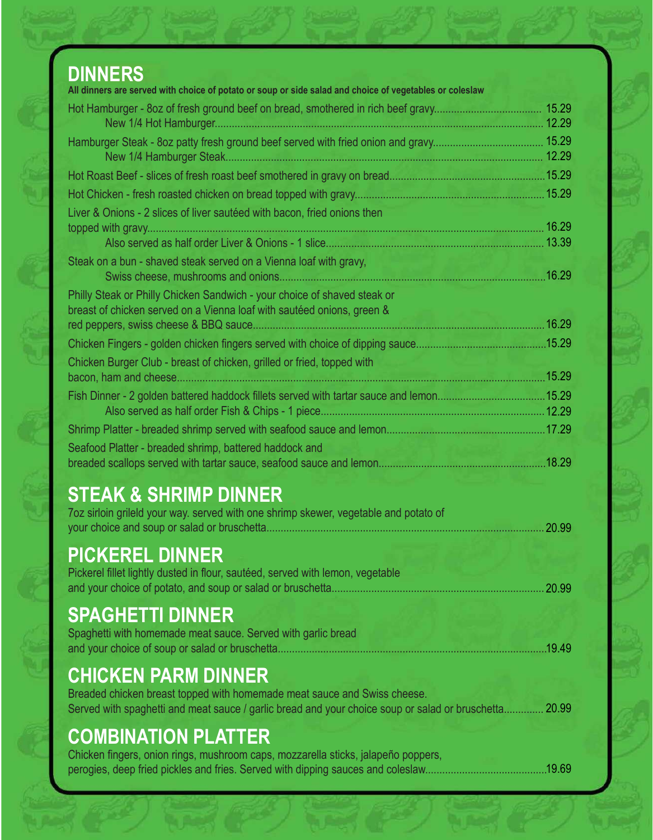| <b>DINNERS</b><br>All dinners are served with choice of potato or soup or side salad and choice of vegetables or coleslaw                                                         |        |
|-----------------------------------------------------------------------------------------------------------------------------------------------------------------------------------|--------|
|                                                                                                                                                                                   |        |
|                                                                                                                                                                                   |        |
|                                                                                                                                                                                   |        |
|                                                                                                                                                                                   |        |
|                                                                                                                                                                                   |        |
|                                                                                                                                                                                   |        |
| Liver & Onions - 2 slices of liver sautéed with bacon, fried onions then                                                                                                          |        |
|                                                                                                                                                                                   |        |
|                                                                                                                                                                                   |        |
| Steak on a bun - shaved steak served on a Vienna loaf with gravy,                                                                                                                 |        |
|                                                                                                                                                                                   | .16.29 |
| Philly Steak or Philly Chicken Sandwich - your choice of shaved steak or                                                                                                          |        |
| breast of chicken served on a Vienna loaf with sautéed onions, green &                                                                                                            |        |
|                                                                                                                                                                                   |        |
|                                                                                                                                                                                   |        |
| Chicken Burger Club - breast of chicken, grilled or fried, topped with                                                                                                            |        |
|                                                                                                                                                                                   |        |
|                                                                                                                                                                                   |        |
|                                                                                                                                                                                   |        |
|                                                                                                                                                                                   |        |
| Seafood Platter - breaded shrimp, battered haddock and                                                                                                                            |        |
|                                                                                                                                                                                   |        |
| <b>STEAK &amp; SHRIMP DINNER</b>                                                                                                                                                  |        |
| 7oz sirloin grileld your way. served with one shrimp skewer, vegetable and potato of                                                                                              |        |
|                                                                                                                                                                                   | 20.99  |
|                                                                                                                                                                                   |        |
| <b>PICKEREL DINNER</b>                                                                                                                                                            |        |
| Pickerel fillet lightly dusted in flour, sautéed, served with lemon, vegetable                                                                                                    | 20.99  |
|                                                                                                                                                                                   |        |
| <b>SPAGHETTI DINNER</b>                                                                                                                                                           |        |
| Spaghetti with homemade meat sauce. Served with garlic bread                                                                                                                      |        |
|                                                                                                                                                                                   | .19.49 |
|                                                                                                                                                                                   |        |
| <b>CHICKEN PARM DINNER</b>                                                                                                                                                        |        |
| Breaded chicken breast topped with homemade meat sauce and Swiss cheese.<br>Served with spaghetti and meat sauce / garlic bread and your choice soup or salad or bruschetta 20.99 |        |
|                                                                                                                                                                                   |        |
| <b>COMBINATION PLATTER</b>                                                                                                                                                        |        |
| Chicken fingers, onion rings, mushroom caps, mozzarella sticks, jalapeño poppers,                                                                                                 |        |
|                                                                                                                                                                                   |        |